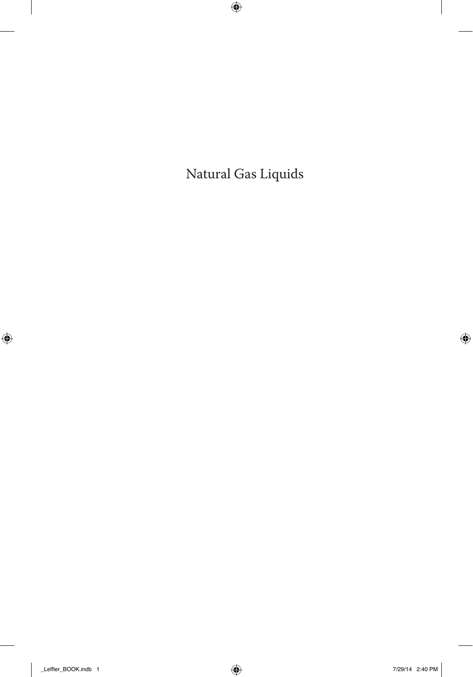Natural Gas Liquids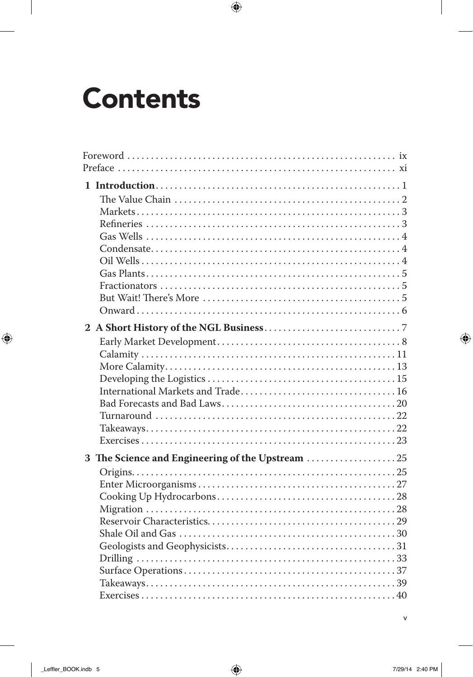# **Contents**

|  | 3 The Science and Engineering of the Upstream  25 |  |  |  |
|--|---------------------------------------------------|--|--|--|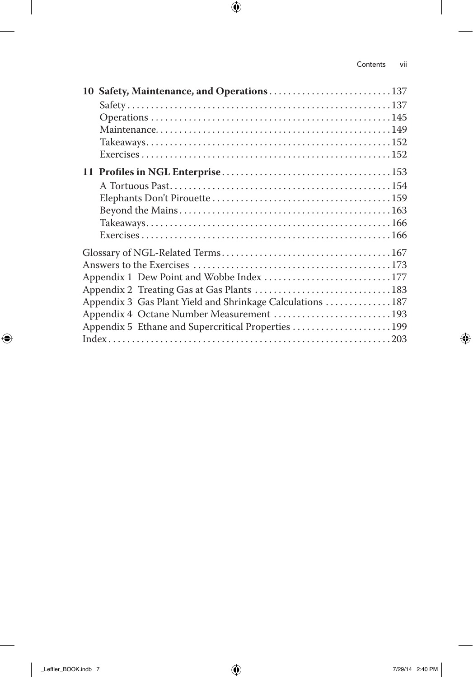| Appendix 3 Gas Plant Yield and Shrinkage Calculations  187 |  |  |  |  |
|------------------------------------------------------------|--|--|--|--|
| Appendix 4 Octane Number Measurement 193                   |  |  |  |  |
| Appendix 5 Ethane and Supercritical Properties 199         |  |  |  |  |
|                                                            |  |  |  |  |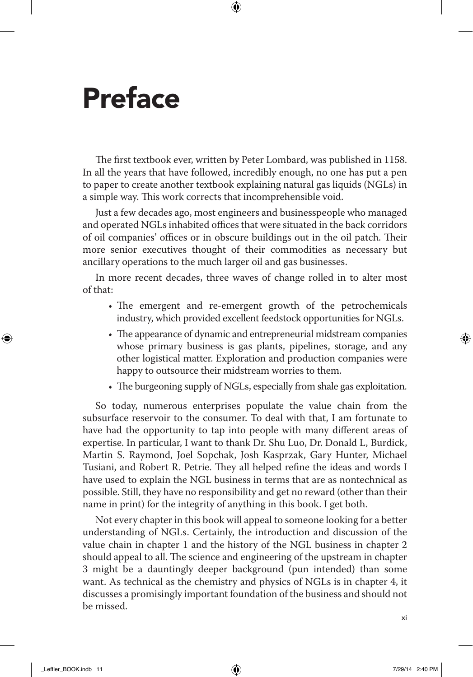## Preface

The first textbook ever, written by Peter Lombard, was published in 1158. In all the years that have followed, incredibly enough, no one has put a pen to paper to create another textbook explaining natural gas liquids (NGLs) in a simple way. This work corrects that incomprehensible void.

Just a few decades ago, most engineers and businesspeople who managed and operated NGLs inhabited offices that were situated in the back corridors of oil companies' offices or in obscure buildings out in the oil patch. Their more senior executives thought of their commodities as necessary but ancillary operations to the much larger oil and gas businesses.

In more recent decades, three waves of change rolled in to alter most of that:

- The emergent and re-emergent growth of the petrochemicals industry, which provided excellent feedstock opportunities for NGLs.
- The appearance of dynamic and entrepreneurial midstream companies whose primary business is gas plants, pipelines, storage, and any other logistical matter. Exploration and production companies were happy to outsource their midstream worries to them.
- The burgeoning supply of NGLs, especially from shale gas exploitation.

So today, numerous enterprises populate the value chain from the subsurface reservoir to the consumer. To deal with that, I am fortunate to have had the opportunity to tap into people with many different areas of expertise. In particular, I want to thank Dr. Shu Luo, Dr. Donald L, Burdick, Martin S. Raymond, Joel Sopchak, Josh Kasprzak, Gary Hunter, Michael Tusiani, and Robert R. Petrie. They all helped refine the ideas and words I have used to explain the NGL business in terms that are as nontechnical as possible. Still, they have no responsibility and get no reward (other than their name in print) for the integrity of anything in this book. I get both.

Not every chapter in this book will appeal to someone looking for a better understanding of NGLs. Certainly, the introduction and discussion of the value chain in chapter 1 and the history of the NGL business in chapter 2 should appeal to all. The science and engineering of the upstream in chapter 3 might be a dauntingly deeper background (pun intended) than some want. As technical as the chemistry and physics of NGLs is in chapter 4, it discusses a promisingly important foundation of the business and should not be missed.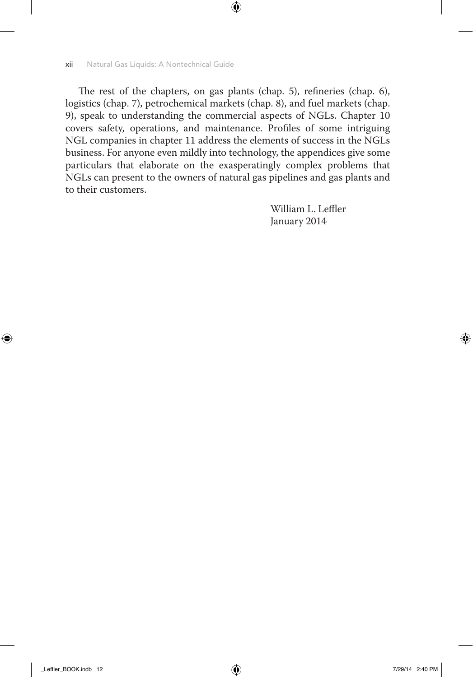The rest of the chapters, on gas plants (chap. 5), refineries (chap. 6), logistics (chap. 7), petrochemical markets (chap. 8), and fuel markets (chap. 9), speak to understanding the commercial aspects of NGLs. Chapter 10 covers safety, operations, and maintenance. Profiles of some intriguing NGL companies in chapter 11 address the elements of success in the NGLs business. For anyone even mildly into technology, the appendices give some particulars that elaborate on the exasperatingly complex problems that NGLs can present to the owners of natural gas pipelines and gas plants and to their customers.

> William L. Leffler January 2014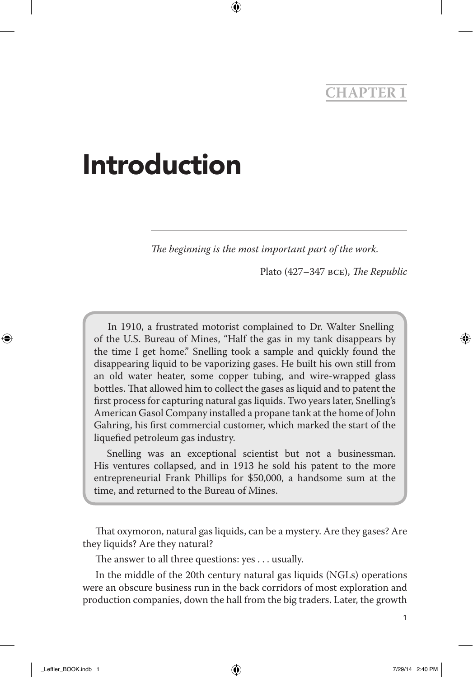### **CHAPTER 1**

## Introduction

*The beginning is the most important part of the work.*

Plato (427–347 bce), *The Republic*

In 1910, a frustrated motorist complained to Dr. Walter Snelling of the U.S. Bureau of Mines, "Half the gas in my tank disappears by the time I get home." Snelling took a sample and quickly found the disappearing liquid to be vaporizing gases. He built his own still from an old water heater, some copper tubing, and wire-wrapped glass bottles. That allowed him to collect the gases as liquid and to patent the first process for capturing natural gas liquids. Two years later, Snelling's American Gasol Company installed a propane tank at the home of John Gahring, his first commercial customer, which marked the start of the liquefied petroleum gas industry.

Snelling was an exceptional scientist but not a businessman. His ventures collapsed, and in 1913 he sold his patent to the more entrepreneurial Frank Phillips for \$50,000, a handsome sum at the time, and returned to the Bureau of Mines.

That oxymoron, natural gas liquids, can be a mystery. Are they gases? Are they liquids? Are they natural?

The answer to all three questions: yes . . . usually.

In the middle of the 20th century natural gas liquids (NGLs) operations were an obscure business run in the back corridors of most exploration and production companies, down the hall from the big traders. Later, the growth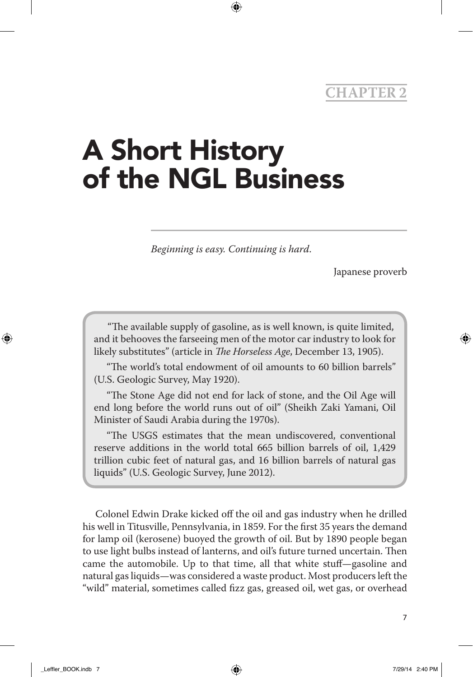### **CHAPTER 2**

## A Short History of the NGL Business

*Beginning is easy. Continuing is hard*.

Japanese proverb

"The available supply of gasoline, as is well known, is quite limited, and it behooves the farseeing men of the motor car industry to look for likely substitutes" (article in *The Horseless Age*, December 13, 1905).

"The world's total endowment of oil amounts to 60 billion barrels" (U.S. Geologic Survey, May 1920).

"The Stone Age did not end for lack of stone, and the Oil Age will end long before the world runs out of oil" (Sheikh Zaki Yamani, Oil Minister of Saudi Arabia during the 1970s).

"The USGS estimates that the mean undiscovered, conventional reserve additions in the world total 665 billion barrels of oil, 1,429 trillion cubic feet of natural gas, and 16 billion barrels of natural gas liquids" (U.S. Geologic Survey, June 2012).

Colonel Edwin Drake kicked off the oil and gas industry when he drilled his well in Titusville, Pennsylvania, in 1859. For the first 35 years the demand for lamp oil (kerosene) buoyed the growth of oil. But by 1890 people began to use light bulbs instead of lanterns, and oil's future turned uncertain. Then came the automobile. Up to that time, all that white stuff—gasoline and natural gas liquids—was considered a waste product. Most producers left the "wild" material, sometimes called fizz gas, greased oil, wet gas, or overhead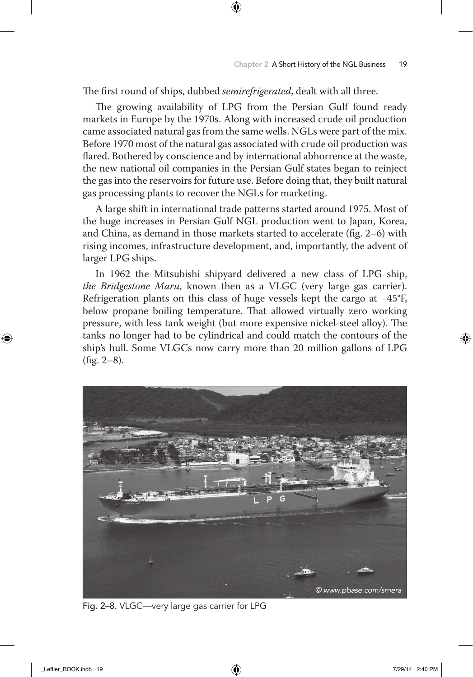The first round of ships, dubbed *semirefrigerated*, dealt with all three.

The growing availability of LPG from the Persian Gulf found ready markets in Europe by the 1970s. Along with increased crude oil production came associated natural gas from the same wells. NGLs were part of the mix. Before 1970 most of the natural gas associated with crude oil production was flared. Bothered by conscience and by international abhorrence at the waste, the new national oil companies in the Persian Gulf states began to reinject the gas into the reservoirs for future use. Before doing that, they built natural gas processing plants to recover the NGLs for marketing.

A large shift in international trade patterns started around 1975. Most of the huge increases in Persian Gulf NGL production went to Japan, Korea, and China, as demand in those markets started to accelerate (fig. 2–6) with rising incomes, infrastructure development, and, importantly, the advent of larger LPG ships.

In 1962 the Mitsubishi shipyard delivered a new class of LPG ship, *the Bridgestone Maru*, known then as a VLGC (very large gas carrier). Refrigeration plants on this class of huge vessels kept the cargo at −45°F, below propane boiling temperature. That allowed virtually zero working pressure, with less tank weight (but more expensive nickel-steel alloy). The tanks no longer had to be cylindrical and could match the contours of the ship's hull. Some VLGCs now carry more than 20 million gallons of LPG  $(fig. 2-8)$ .



Fig. 2–8. VLGC—very large gas carrier for LPG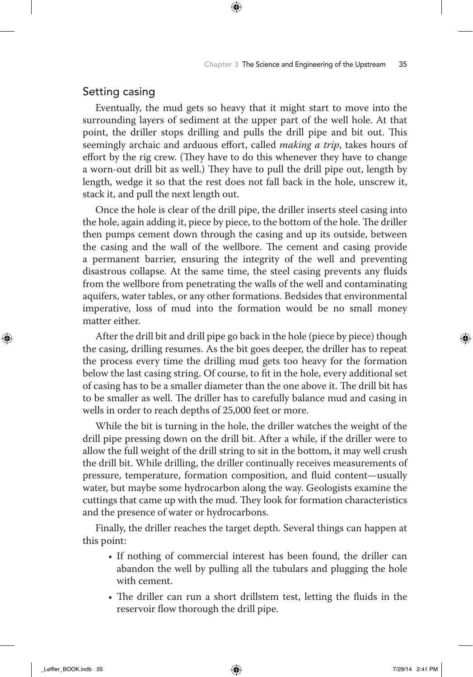#### Setting casing

Eventually, the mud gets so heavy that it might start to move into the surrounding layers of sediment at the upper part of the well hole. At that point, the driller stops drilling and pulls the drill pipe and bit out. This seemingly archaic and arduous effort, called *making a trip*, takes hours of effort by the rig crew. (They have to do this whenever they have to change a worn-out drill bit as well.) They have to pull the drill pipe out, length by length, wedge it so that the rest does not fall back in the hole, unscrew it, stack it, and pull the next length out.

Once the hole is clear of the drill pipe, the driller inserts steel casing into the hole, again adding it, piece by piece, to the bottom of the hole. The driller then pumps cement down through the casing and up its outside, between the casing and the wall of the wellbore. The cement and casing provide a permanent barrier, ensuring the integrity of the well and preventing disastrous collapse. At the same time, the steel casing prevents any fluids from the wellbore from penetrating the walls of the well and contaminating aquifers, water tables, or any other formations. Bedsides that environmental imperative, loss of mud into the formation would be no small money matter either.

After the drill bit and drill pipe go back in the hole (piece by piece) though the casing, drilling resumes. As the bit goes deeper, the driller has to repeat the process every time the drilling mud gets too heavy for the formation below the last casing string. Of course, to fit in the hole, every additional set of casing has to be a smaller diameter than the one above it. The drill bit has to be smaller as well. The driller has to carefully balance mud and casing in wells in order to reach depths of 25,000 feet or more.

While the bit is turning in the hole, the driller watches the weight of the drill pipe pressing down on the drill bit. After a while, if the driller were to allow the full weight of the drill string to sit in the bottom, it may well crush the drill bit. While drilling, the driller continually receives measurements of pressure, temperature, formation composition, and fluid content—usually water, but maybe some hydrocarbon along the way. Geologists examine the cuttings that came up with the mud. They look for formation characteristics and the presence of water or hydrocarbons.

Finally, the driller reaches the target depth. Several things can happen at this point:

- If nothing of commercial interest has been found, the driller can abandon the well by pulling all the tubulars and plugging the hole with cement.
- The driller can run a short drillstem test, letting the fluids in the reservoir flow thorough the drill pipe.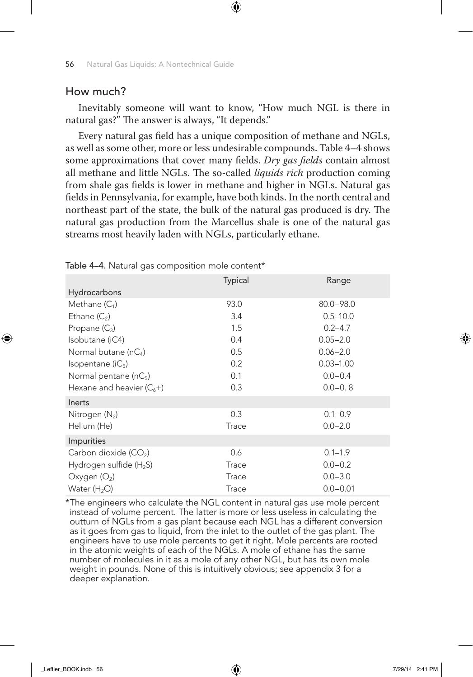#### How much?

Inevitably someone will want to know, "How much NGL is there in natural gas?" The answer is always, "It depends."

Every natural gas field has a unique composition of methane and NGLs, as well as some other, more or less undesirable compounds. Table 4–4 shows some approximations that cover many fields. *Dry gas fields* contain almost all methane and little NGLs. The so-called *liquids rich* production coming from shale gas fields is lower in methane and higher in NGLs. Natural gas fields in Pennsylvania, for example, have both kinds. In the north central and northeast part of the state, the bulk of the natural gas produced is dry. The natural gas production from the Marcellus shale is one of the natural gas streams most heavily laden with NGLs, particularly ethane.

|                                 | <b>Typical</b> | Range         |  |  |  |  |  |
|---------------------------------|----------------|---------------|--|--|--|--|--|
| Hydrocarbons                    |                |               |  |  |  |  |  |
| Methane $(C_1)$                 | 93.0           | $80.0 - 98.0$ |  |  |  |  |  |
| Ethane $(C_2)$                  | 3.4            | $0.5 - 10.0$  |  |  |  |  |  |
| Propane $(C_3)$                 | 1.5            | $0.2 - 4.7$   |  |  |  |  |  |
| Isobutane (iC4)                 | 0.4            | $0.05 - 2.0$  |  |  |  |  |  |
| Normal butane ( $nC_4$ )        | 0.5            | $0.06 - 2.0$  |  |  |  |  |  |
| $Isopentane$ (iC <sub>5</sub> ) | 0.2            | $0.03 - 1.00$ |  |  |  |  |  |
| Normal pentane ( $nC_5$ )       | 0.1            | $0.0 - 0.4$   |  |  |  |  |  |
| Hexane and heavier $(C_4+)$     | 0.3            | $0.0 - 0.8$   |  |  |  |  |  |
| Inerts                          |                |               |  |  |  |  |  |
| Nitrogen $(N_2)$                | 0.3            | $0.1 - 0.9$   |  |  |  |  |  |
| Helium (He)                     | Trace          | $0.0 - 2.0$   |  |  |  |  |  |
| Impurities                      |                |               |  |  |  |  |  |
| Carbon dioxide $(CO2)$          | 0.6            | $0.1 - 1.9$   |  |  |  |  |  |
| Hydrogen sulfide ( $H_2S$ )     | Trace          | $0.0 - 0.2$   |  |  |  |  |  |
| Oxygen(O <sub>2</sub> )         | Trace          | $0.0 - 3.0$   |  |  |  |  |  |
| Water $(H2O)$                   | Trace          | $0.0 - 0.01$  |  |  |  |  |  |

Table 4–4. Natural gas composition mole content\*

\*The engineers who calculate the NGL content in natural gas use mole percent instead of volume percent. The latter is more or less useless in calculating the outturn of NGLs from a gas plant because each NGL has a different conversion as it goes from gas to liquid, from the inlet to the outlet of the gas plant. The engineers have to use mole percents to get it right. Mole percents are rooted in the atomic weights of each of the NGLs. A mole of ethane has the same number of molecules in it as a mole of any other NGL, but has its own mole weight in pounds. None of this is intuitively obvious; see appendix 3 for a deeper explanation.